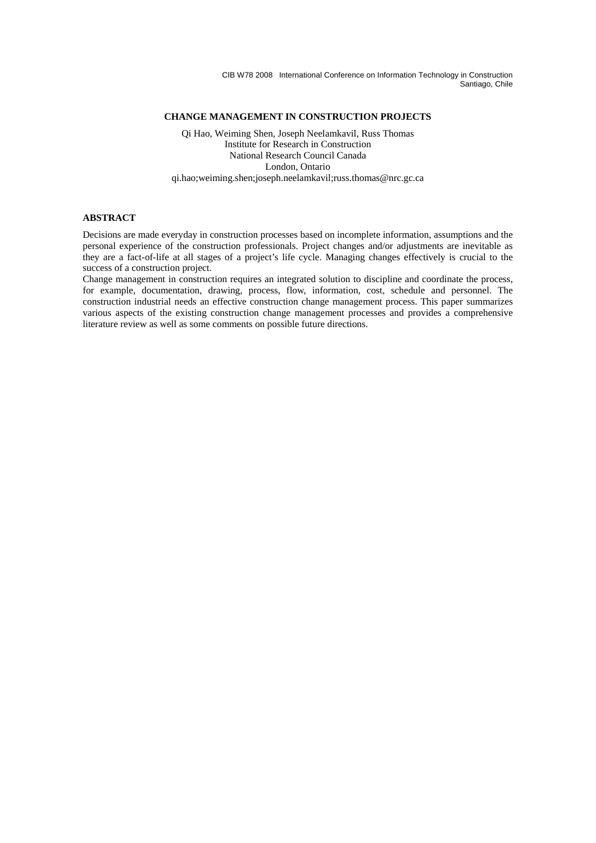## **CHANGE MANAGEMENT IN CONSTRUCTION PROJECTS**

Qi Hao, Weiming Shen, Joseph Neelamkavil, Russ Thomas Institute for Research in Construction National Research Council Canada London, Ontario qi.hao;weiming.shen;joseph.neelamkavil;russ.thomas@nrc.gc.ca

# **ABSTRACT**

Decisions are made everyday in construction processes based on incomplete information, assumptions and the personal experience of the construction professionals. Project changes and/or adjustments are inevitable as they are a fact-of-life at all stages of a project's life cycle. Managing changes effectively is crucial to the success of a construction project.

Change management in construction requires an integrated solution to discipline and coordinate the process, for example, documentation, drawing, process, flow, information, cost, schedule and personnel. The construction industrial needs an effective construction change management process. This paper summarizes various aspects of the existing construction change management processes and provides a comprehensive literature review as well as some comments on possible future directions.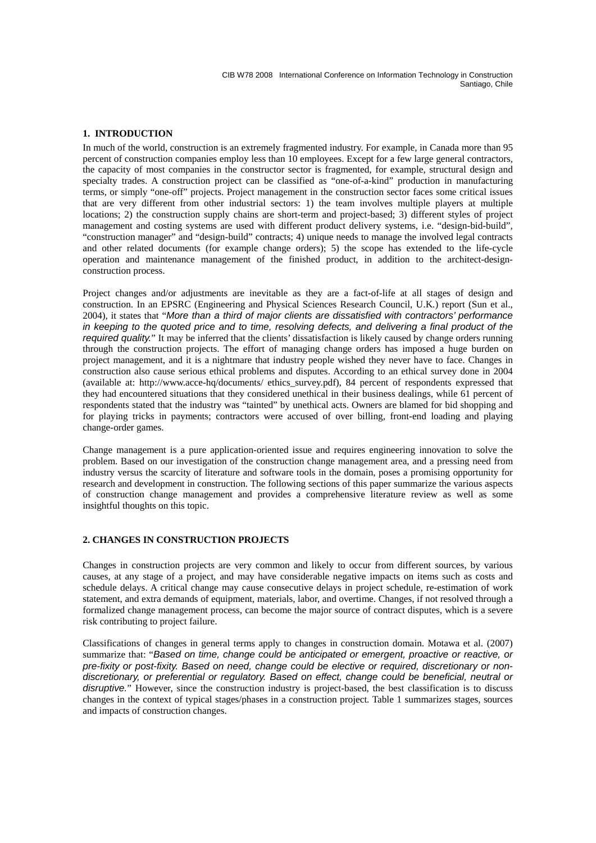## **1. INTRODUCTION**

In much of the world, construction is an extremely fragmented industry. For example, in Canada more than 95 percent of construction companies employ less than 10 employees. Except for a few large general contractors, the capacity of most companies in the constructor sector is fragmented, for example, structural design and specialty trades. A construction project can be classified as "one-of-a-kind" production in manufacturing terms, or simply "one-off" projects. Project management in the construction sector faces some critical issues that are very different from other industrial sectors: 1) the team involves multiple players at multiple locations; 2) the construction supply chains are short-term and project-based; 3) different styles of project management and costing systems are used with different product delivery systems, i.e. "design-bid-build", "construction manager" and "design-build" contracts; 4) unique needs to manage the involved legal contracts and other related documents (for example change orders); 5) the scope has extended to the life-cycle operation and maintenance management of the finished product, in addition to the architect-designconstruction process.

Project changes and/or adjustments are inevitable as they are a fact-of-life at all stages of design and construction. In an EPSRC (Engineering and Physical Sciences Research Council, U.K.) report (Sun et al., 2004), it states that "*More than a third of major clients are dissatisfied with contractors' performance in keeping to the quoted price and to time, resolving defects, and delivering a final product of the required quality.*" It may be inferred that the clients' dissatisfaction is likely caused by change orders running through the construction projects. The effort of managing change orders has imposed a huge burden on project management, and it is a nightmare that industry people wished they never have to face. Changes in construction also cause serious ethical problems and disputes. According to an ethical survey done in 2004 (available at: http://www.acce-hq/documents/ ethics\_survey.pdf), 84 percent of respondents expressed that they had encountered situations that they considered unethical in their business dealings, while 61 percent of respondents stated that the industry was "tainted" by unethical acts. Owners are blamed for bid shopping and for playing tricks in payments; contractors were accused of over billing, front-end loading and playing change-order games.

Change management is a pure application-oriented issue and requires engineering innovation to solve the problem. Based on our investigation of the construction change management area, and a pressing need from industry versus the scarcity of literature and software tools in the domain, poses a promising opportunity for research and development in construction. The following sections of this paper summarize the various aspects of construction change management and provides a comprehensive literature review as well as some insightful thoughts on this topic.

### **2. CHANGES IN CONSTRUCTION PROJECTS**

Changes in construction projects are very common and likely to occur from different sources, by various causes, at any stage of a project, and may have considerable negative impacts on items such as costs and schedule delays. A critical change may cause consecutive delays in project schedule, re-estimation of work statement, and extra demands of equipment, materials, labor, and overtime. Changes, if not resolved through a formalized change management process, can become the major source of contract disputes, which is a severe risk contributing to project failure.

Classifications of changes in general terms apply to changes in construction domain. Motawa et al. (2007) summarize that: "*Based on time, change could be anticipated or emergent, proactive or reactive, or pre-fixity or post-fixity. Based on need, change could be elective or required, discretionary or nondiscretionary, or preferential or regulatory. Based on effect, change could be beneficial, neutral or disruptive.*" However, since the construction industry is project-based, the best classification is to discuss changes in the context of typical stages/phases in a construction project. Table 1 summarizes stages, sources and impacts of construction changes.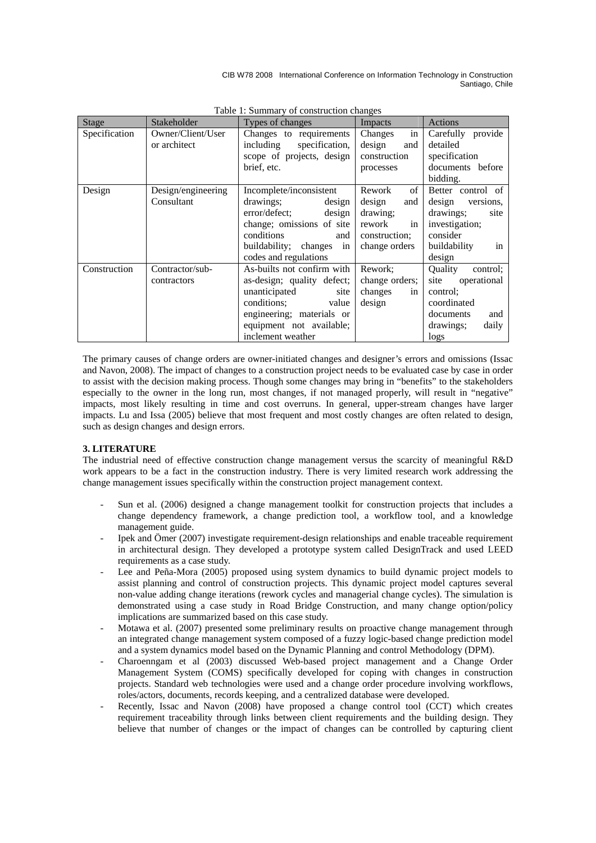| <b>Stage</b>  | Stakeholder        | Types of changes            | Impacts        | Actions             |
|---------------|--------------------|-----------------------------|----------------|---------------------|
| Specification | Owner/Client/User  | Changes to requirements     | in<br>Changes  | Carefully provide   |
|               | or architect       | including<br>specification, | design<br>and  | detailed            |
|               |                    | scope of projects, design   | construction   | specification       |
|               |                    | brief, etc.                 | processes      | documents before    |
|               |                    |                             |                | bidding.            |
| Design        | Design/engineering | Incomplete/inconsistent     | of<br>Rework   | Better control of   |
|               | Consultant         | drawings;<br>design         | design<br>and  | design<br>versions. |
|               |                    | error/defect;<br>design     | drawing;       | drawings;<br>site   |
|               |                    | change; omissions of site   | rework<br>in   | investigation;      |
|               |                    | conditions<br>and           | construction;  | consider            |
|               |                    | buildability; changes<br>in | change orders  | buildability<br>in  |
|               |                    | codes and regulations       |                | design              |
| Construction  | Contractor/sub-    | As-builts not confirm with  | Rework:        | Ouality<br>control; |
|               | contractors        | as-design; quality defect;  | change orders; | operational<br>site |
|               |                    | unanticipated<br>site       | changes<br>in  | control;            |
|               |                    | conditions;<br>value        | design         | coordinated         |
|               |                    | engineering; materials or   |                | documents<br>and    |
|               |                    | equipment not available;    |                | drawings;<br>daily  |
|               |                    | inclement weather           |                | logs                |

Table 1: Summary of construction changes

The primary causes of change orders are owner-initiated changes and designer's errors and omissions (Issac and Navon, 2008). The impact of changes to a construction project needs to be evaluated case by case in order to assist with the decision making process. Though some changes may bring in "benefits" to the stakeholders especially to the owner in the long run, most changes, if not managed properly, will result in "negative" impacts, most likely resulting in time and cost overruns. In general, upper-stream changes have larger impacts. Lu and Issa (2005) believe that most frequent and most costly changes are often related to design, such as design changes and design errors.

## **3. LITERATURE**

The industrial need of effective construction change management versus the scarcity of meaningful R&D work appears to be a fact in the construction industry. There is very limited research work addressing the change management issues specifically within the construction project management context.

- Sun et al. (2006) designed a change management toolkit for construction projects that includes a change dependency framework, a change prediction tool, a workflow tool, and a knowledge management guide.
- Ipek and Ömer (2007) investigate requirement-design relationships and enable traceable requirement in architectural design. They developed a prototype system called DesignTrack and used LEED requirements as a case study.
- Lee and Peña-Mora (2005) proposed using system dynamics to build dynamic project models to assist planning and control of construction projects. This dynamic project model captures several non-value adding change iterations (rework cycles and managerial change cycles). The simulation is demonstrated using a case study in Road Bridge Construction, and many change option/policy implications are summarized based on this case study.
- Motawa et al. (2007) presented some preliminary results on proactive change management through an integrated change management system composed of a fuzzy logic-based change prediction model and a system dynamics model based on the Dynamic Planning and control Methodology (DPM).
- Charoenngam et al (2003) discussed Web-based project management and a Change Order Management System (COMS) specifically developed for coping with changes in construction projects. Standard web technologies were used and a change order procedure involving workflows, roles/actors, documents, records keeping, and a centralized database were developed.
- Recently, Issac and Navon (2008) have proposed a change control tool (CCT) which creates requirement traceability through links between client requirements and the building design. They believe that number of changes or the impact of changes can be controlled by capturing client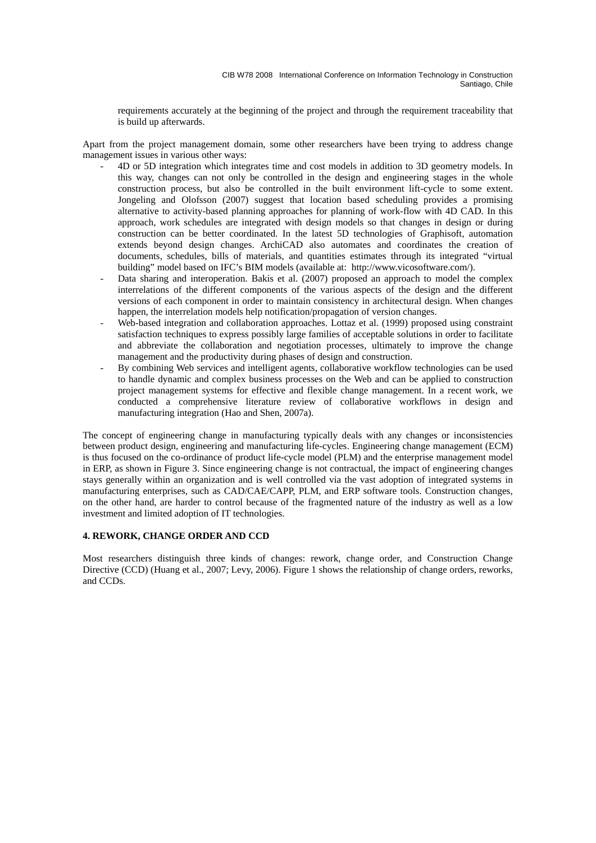requirements accurately at the beginning of the project and through the requirement traceability that is build up afterwards.

Apart from the project management domain, some other researchers have been trying to address change management issues in various other ways:

- 4D or 5D integration which integrates time and cost models in addition to 3D geometry models. In this way, changes can not only be controlled in the design and engineering stages in the whole construction process, but also be controlled in the built environment lift-cycle to some extent. Jongeling and Olofsson (2007) suggest that location based scheduling provides a promising alternative to activity-based planning approaches for planning of work-flow with 4D CAD. In this approach, work schedules are integrated with design models so that changes in design or during construction can be better coordinated. In the latest 5D technologies of Graphisoft, automation extends beyond design changes. ArchiCAD also automates and coordinates the creation of documents, schedules, bills of materials, and quantities estimates through its integrated "virtual building" model based on IFC's BIM models (available at: http://www.vicosoftware.com/).
- Data sharing and interoperation. Bakis et al. (2007) proposed an approach to model the complex interrelations of the different components of the various aspects of the design and the different versions of each component in order to maintain consistency in architectural design. When changes happen, the interrelation models help notification/propagation of version changes.
- Web-based integration and collaboration approaches. Lottaz et al. (1999) proposed using constraint satisfaction techniques to express possibly large families of acceptable solutions in order to facilitate and abbreviate the collaboration and negotiation processes, ultimately to improve the change management and the productivity during phases of design and construction.
- By combining Web services and intelligent agents, collaborative workflow technologies can be used to handle dynamic and complex business processes on the Web and can be applied to construction project management systems for effective and flexible change management. In a recent work, we conducted a comprehensive literature review of collaborative workflows in design and manufacturing integration (Hao and Shen, 2007a).

The concept of engineering change in manufacturing typically deals with any changes or inconsistencies between product design, engineering and manufacturing life-cycles. Engineering change management (ECM) is thus focused on the co-ordinance of product life-cycle model (PLM) and the enterprise management model in ERP, as shown in Figure 3. Since engineering change is not contractual, the impact of engineering changes stays generally within an organization and is well controlled via the vast adoption of integrated systems in manufacturing enterprises, such as CAD/CAE/CAPP, PLM, and ERP software tools. Construction changes, on the other hand, are harder to control because of the fragmented nature of the industry as well as a low investment and limited adoption of IT technologies.

## **4. REWORK, CHANGE ORDER AND CCD**

Most researchers distinguish three kinds of changes: rework, change order, and Construction Change Directive (CCD) (Huang et al., 2007; Levy, 2006). Figure 1 shows the relationship of change orders, reworks, and CCDs.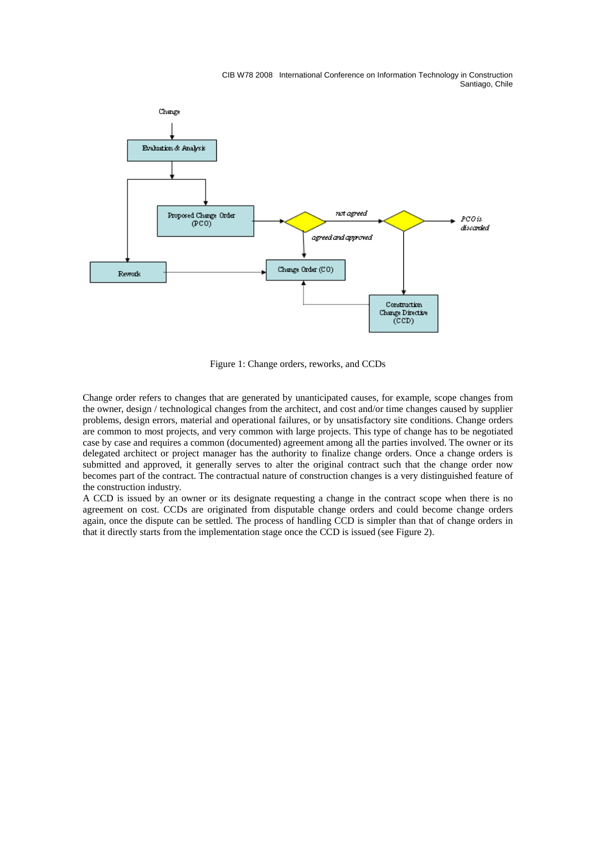

Figure 1: Change orders, reworks, and CCDs

Change order refers to changes that are generated by unanticipated causes, for example, scope changes from the owner, design / technological changes from the architect, and cost and/or time changes caused by supplier problems, design errors, material and operational failures, or by unsatisfactory site conditions. Change orders are common to most projects, and very common with large projects. This type of change has to be negotiated case by case and requires a common (documented) agreement among all the parties involved. The owner or its delegated architect or project manager has the authority to finalize change orders. Once a change orders is submitted and approved, it generally serves to alter the original contract such that the change order now becomes part of the contract. The contractual nature of construction changes is a very distinguished feature of the construction industry.

A CCD is issued by an owner or its designate requesting a change in the contract scope when there is no agreement on cost. CCDs are originated from disputable change orders and could become change orders again, once the dispute can be settled. The process of handling CCD is simpler than that of change orders in that it directly starts from the implementation stage once the CCD is issued (see Figure 2).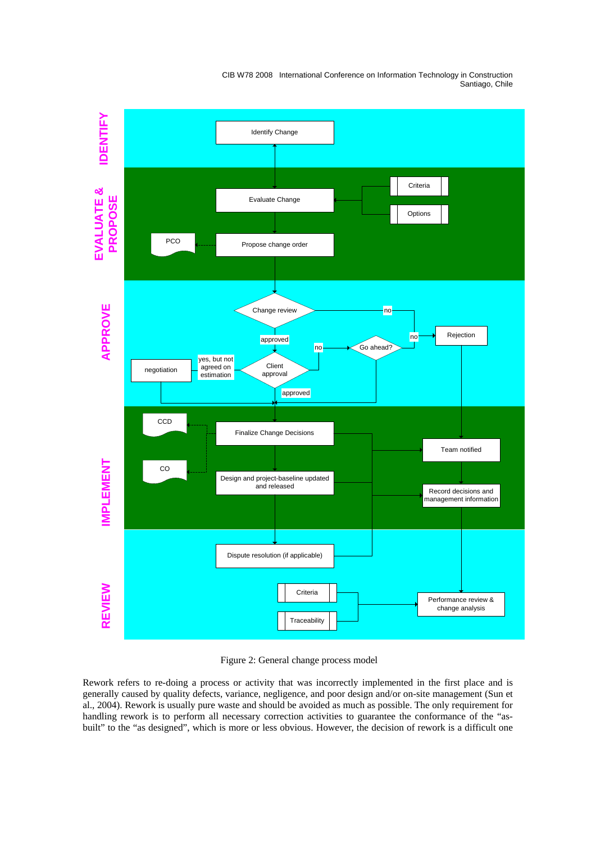

Figure 2: General change process model

Rework refers to re-doing a process or activity that was incorrectly implemented in the first place and is generally caused by quality defects, variance, negligence, and poor design and/or on-site management (Sun et al., 2004). Rework is usually pure waste and should be avoided as much as possible. The only requirement for handling rework is to perform all necessary correction activities to guarantee the conformance of the "asbuilt" to the "as designed", which is more or less obvious. However, the decision of rework is a difficult one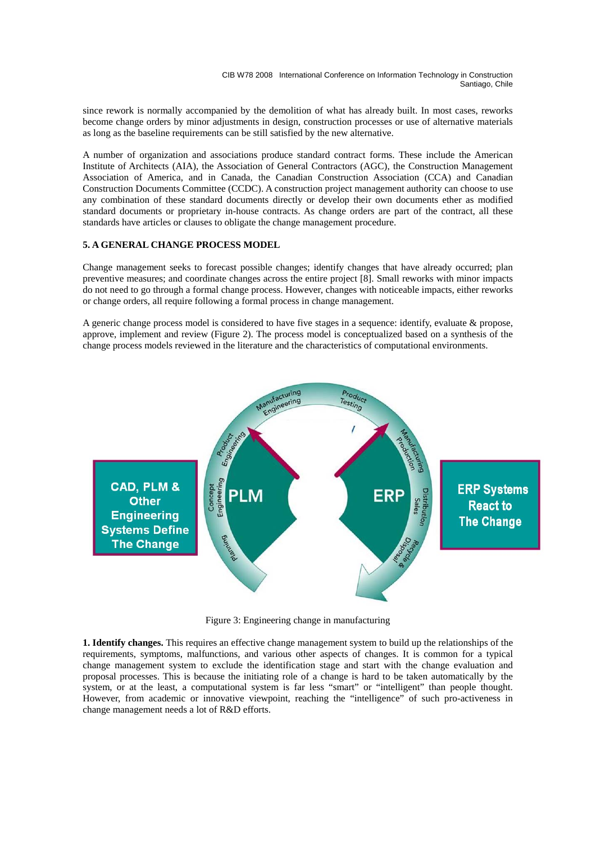since rework is normally accompanied by the demolition of what has already built. In most cases, reworks become change orders by minor adjustments in design, construction processes or use of alternative materials as long as the baseline requirements can be still satisfied by the new alternative.

A number of organization and associations produce standard contract forms. These include the American Institute of Architects (AIA), the Association of General Contractors (AGC), the Construction Management Association of America, and in Canada, the Canadian Construction Association (CCA) and Canadian Construction Documents Committee (CCDC). A construction project management authority can choose to use any combination of these standard documents directly or develop their own documents ether as modified standard documents or proprietary in-house contracts. As change orders are part of the contract, all these standards have articles or clauses to obligate the change management procedure.

## **5. A GENERAL CHANGE PROCESS MODEL**

Change management seeks to forecast possible changes; identify changes that have already occurred; plan preventive measures; and coordinate changes across the entire project [8]. Small reworks with minor impacts do not need to go through a formal change process. However, changes with noticeable impacts, either reworks or change orders, all require following a formal process in change management.

A generic change process model is considered to have five stages in a sequence: identify, evaluate & propose, approve, implement and review (Figure 2). The process model is conceptualized based on a synthesis of the change process models reviewed in the literature and the characteristics of computational environments.



Figure 3: Engineering change in manufacturing

**1. Identify changes.** This requires an effective change management system to build up the relationships of the requirements, symptoms, malfunctions, and various other aspects of changes. It is common for a typical change management system to exclude the identification stage and start with the change evaluation and proposal processes. This is because the initiating role of a change is hard to be taken automatically by the system, or at the least, a computational system is far less "smart" or "intelligent" than people thought. However, from academic or innovative viewpoint, reaching the "intelligence" of such pro-activeness in change management needs a lot of R&D efforts.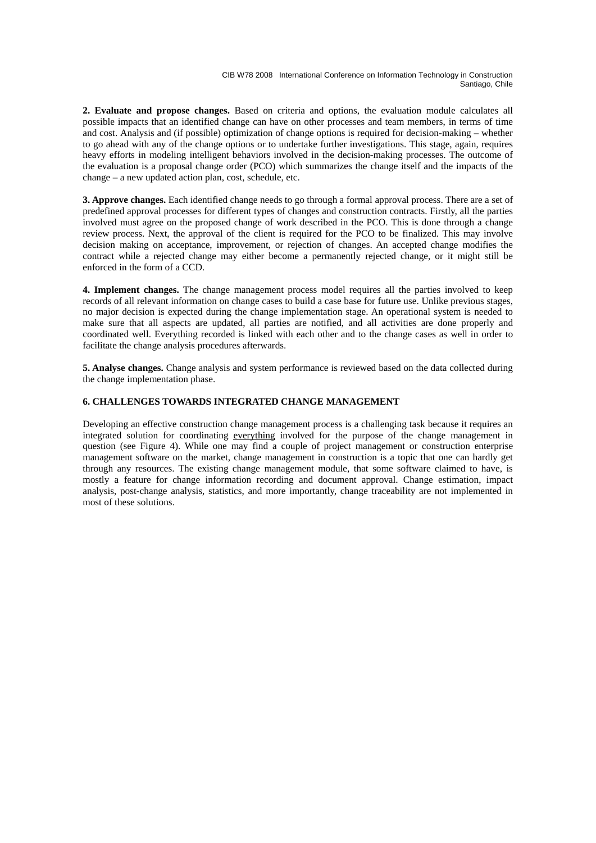**2. Evaluate and propose changes.** Based on criteria and options, the evaluation module calculates all possible impacts that an identified change can have on other processes and team members, in terms of time and cost. Analysis and (if possible) optimization of change options is required for decision-making – whether to go ahead with any of the change options or to undertake further investigations. This stage, again, requires heavy efforts in modeling intelligent behaviors involved in the decision-making processes. The outcome of the evaluation is a proposal change order (PCO) which summarizes the change itself and the impacts of the change – a new updated action plan, cost, schedule, etc.

**3. Approve changes.** Each identified change needs to go through a formal approval process. There are a set of predefined approval processes for different types of changes and construction contracts. Firstly, all the parties involved must agree on the proposed change of work described in the PCO. This is done through a change review process. Next, the approval of the client is required for the PCO to be finalized. This may involve decision making on acceptance, improvement, or rejection of changes. An accepted change modifies the contract while a rejected change may either become a permanently rejected change, or it might still be enforced in the form of a CCD.

**4. Implement changes.** The change management process model requires all the parties involved to keep records of all relevant information on change cases to build a case base for future use. Unlike previous stages, no major decision is expected during the change implementation stage. An operational system is needed to make sure that all aspects are updated, all parties are notified, and all activities are done properly and coordinated well. Everything recorded is linked with each other and to the change cases as well in order to facilitate the change analysis procedures afterwards.

**5. Analyse changes.** Change analysis and system performance is reviewed based on the data collected during the change implementation phase.

# **6. CHALLENGES TOWARDS INTEGRATED CHANGE MANAGEMENT**

Developing an effective construction change management process is a challenging task because it requires an integrated solution for coordinating everything involved for the purpose of the change management in question (see Figure 4). While one may find a couple of project management or construction enterprise management software on the market, change management in construction is a topic that one can hardly get through any resources. The existing change management module, that some software claimed to have, is mostly a feature for change information recording and document approval. Change estimation, impact analysis, post-change analysis, statistics, and more importantly, change traceability are not implemented in most of these solutions.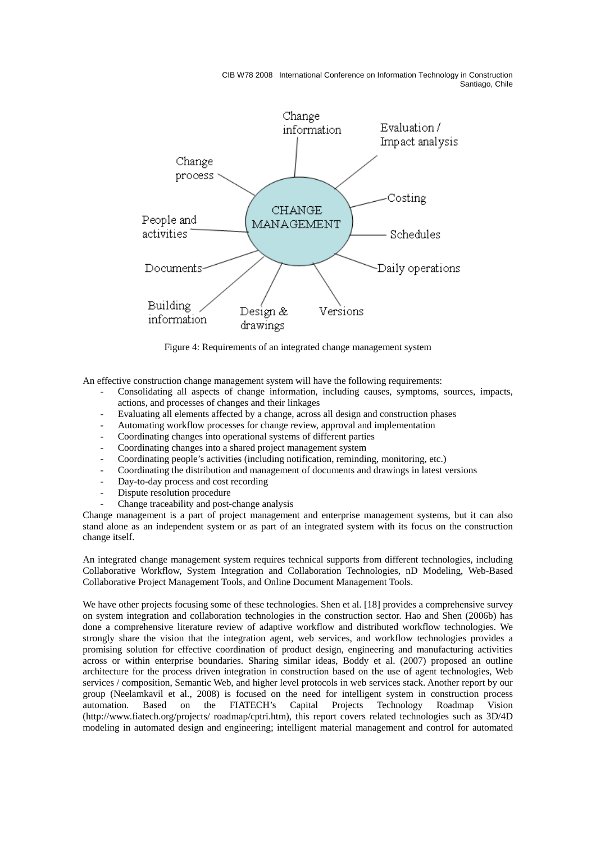

Figure 4: Requirements of an integrated change management system

An effective construction change management system will have the following requirements:

- Consolidating all aspects of change information, including causes, symptoms, sources, impacts, actions, and processes of changes and their linkages
- Evaluating all elements affected by a change, across all design and construction phases
- Automating workflow processes for change review, approval and implementation
- Coordinating changes into operational systems of different parties
- Coordinating changes into a shared project management system
- Coordinating people's activities (including notification, reminding, monitoring, etc.)
- Coordinating the distribution and management of documents and drawings in latest versions
- Day-to-day process and cost recording
- Dispute resolution procedure
- Change traceability and post-change analysis

Change management is a part of project management and enterprise management systems, but it can also stand alone as an independent system or as part of an integrated system with its focus on the construction change itself.

An integrated change management system requires technical supports from different technologies, including Collaborative Workflow, System Integration and Collaboration Technologies, nD Modeling, Web-Based Collaborative Project Management Tools, and Online Document Management Tools.

We have other projects focusing some of these technologies. Shen et al. [18] provides a comprehensive survey on system integration and collaboration technologies in the construction sector. Hao and Shen (2006b) has done a comprehensive literature review of adaptive workflow and distributed workflow technologies. We strongly share the vision that the integration agent, web services, and workflow technologies provides a promising solution for effective coordination of product design, engineering and manufacturing activities across or within enterprise boundaries. Sharing similar ideas, Boddy et al. (2007) proposed an outline architecture for the process driven integration in construction based on the use of agent technologies, Web services / composition, Semantic Web, and higher level protocols in web services stack. Another report by our group (Neelamkavil et al., 2008) is focused on the need for intelligent system in construction process automation. Based on the FIATECH's Capital Projects Technology Roadmap Vision (http://www.fiatech.org/projects/ roadmap/cptri.htm), this report covers related technologies such as 3D/4D modeling in automated design and engineering; intelligent material management and control for automated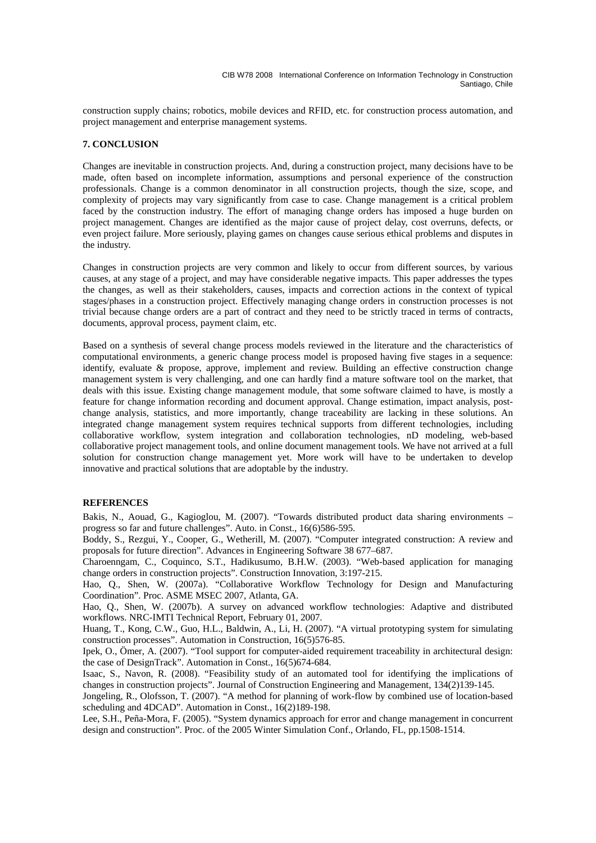construction supply chains; robotics, mobile devices and RFID, etc. for construction process automation, and project management and enterprise management systems.

### **7. CONCLUSION**

Changes are inevitable in construction projects. And, during a construction project, many decisions have to be made, often based on incomplete information, assumptions and personal experience of the construction professionals. Change is a common denominator in all construction projects, though the size, scope, and complexity of projects may vary significantly from case to case. Change management is a critical problem faced by the construction industry. The effort of managing change orders has imposed a huge burden on project management. Changes are identified as the major cause of project delay, cost overruns, defects, or even project failure. More seriously, playing games on changes cause serious ethical problems and disputes in the industry.

Changes in construction projects are very common and likely to occur from different sources, by various causes, at any stage of a project, and may have considerable negative impacts. This paper addresses the types the changes, as well as their stakeholders, causes, impacts and correction actions in the context of typical stages/phases in a construction project. Effectively managing change orders in construction processes is not trivial because change orders are a part of contract and they need to be strictly traced in terms of contracts, documents, approval process, payment claim, etc.

Based on a synthesis of several change process models reviewed in the literature and the characteristics of computational environments, a generic change process model is proposed having five stages in a sequence: identify, evaluate & propose, approve, implement and review. Building an effective construction change management system is very challenging, and one can hardly find a mature software tool on the market, that deals with this issue. Existing change management module, that some software claimed to have, is mostly a feature for change information recording and document approval. Change estimation, impact analysis, postchange analysis, statistics, and more importantly, change traceability are lacking in these solutions. An integrated change management system requires technical supports from different technologies, including collaborative workflow, system integration and collaboration technologies, nD modeling, web-based collaborative project management tools, and online document management tools. We have not arrived at a full solution for construction change management yet. More work will have to be undertaken to develop innovative and practical solutions that are adoptable by the industry.

### **REFERENCES**

Bakis, N., Aouad, G., Kagioglou, M. (2007). "Towards distributed product data sharing environments – progress so far and future challenges". Auto. in Const., 16(6)586-595.

Boddy, S., Rezgui, Y., Cooper, G., Wetherill, M. (2007). "Computer integrated construction: A review and proposals for future direction". Advances in Engineering Software 38 677–687.

Charoenngam, C., Coquinco, S.T., Hadikusumo, B.H.W. (2003). "Web-based application for managing change orders in construction projects". Construction Innovation, 3:197-215.

Hao, Q., Shen, W. (2007a). "Collaborative Workflow Technology for Design and Manufacturing Coordination". Proc. ASME MSEC 2007, Atlanta, GA.

Hao, Q., Shen, W. (2007b). A survey on advanced workflow technologies: Adaptive and distributed workflows. NRC-IMTI Technical Report, February 01, 2007.

Huang, T., Kong, C.W., Guo, H.L., Baldwin, A., Li, H. (2007). "A virtual prototyping system for simulating construction processes". Automation in Construction, 16(5)576-85.

Ipek, O., Ömer, A. (2007). "Tool support for computer-aided requirement traceability in architectural design: the case of DesignTrack". Automation in Const., 16(5)674-684.

Isaac, S., Navon, R. (2008). "Feasibility study of an automated tool for identifying the implications of changes in construction projects". Journal of Construction Engineering and Management, 134(2)139-145.

Jongeling, R., Olofsson, T. (2007). "A method for planning of work-flow by combined use of location-based scheduling and 4DCAD". Automation in Const., 16(2)189-198.

Lee, S.H., Peña-Mora, F. (2005). "System dynamics approach for error and change management in concurrent design and construction". Proc. of the 2005 Winter Simulation Conf., Orlando, FL, pp.1508-1514.